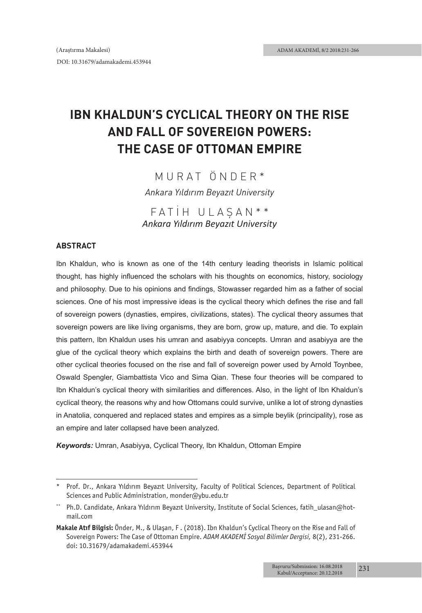# **IBN KHALDUN'S CYCLICAL THEORY ON THE RISE AND FALL OF SOVEREIGN POWERS: THE CASE OF OTTOMAN EMPIRE**

# MURAT ÖNDER\*

*Ankara Yıldırım Beyazıt University*

FATİH ULAŞAN\*\* *Ankara Yıldırım Beyazıt University*

#### **ABSTRACT**

Ibn Khaldun, who is known as one of the 14th century leading theorists in Islamic political thought, has highly influenced the scholars with his thoughts on economics, history, sociology and philosophy. Due to his opinions and findings, Stowasser regarded him as a father of social sciences. One of his most impressive ideas is the cyclical theory which defines the rise and fall of sovereign powers (dynasties, empires, civilizations, states). The cyclical theory assumes that sovereign powers are like living organisms, they are born, grow up, mature, and die. To explain this pattern, Ibn Khaldun uses his umran and asabiyya concepts. Umran and asabiyya are the glue of the cyclical theory which explains the birth and death of sovereign powers. There are other cyclical theories focused on the rise and fall of sovereign power used by Arnold Toynbee, Oswald Spengler, Giambattista Vico and Sima Qian. These four theories will be compared to Ibn Khaldun's cyclical theory with similarities and differences. Also, in the light of Ibn Khaldun's cyclical theory, the reasons why and how Ottomans could survive, unlike a lot of strong dynasties in Anatolia, conquered and replaced states and empires as a simple beylik (principality), rose as an empire and later collapsed have been analyzed.

*Keywords:* Umran, Asabiyya, Cyclical Theory, Ibn Khaldun, Ottoman Empire

<sup>\*</sup> Prof. Dr., Ankara Yıldırım Beyazıt University, Faculty of Political Sciences, Department of Political Sciences and Public Administration, monder@ybu.edu.tr

Ph.D. Candidate, Ankara Yıldırım Beyazıt University, Institute of Social Sciences, fatih\_ulasan@hotmail.com

**Makale Atıf Bilgisi:** Önder, M., & Ulaşan, F . (2018). Ibn Khaldun's Cyclical Theory on the Rise and Fall of Sovereign Powers: The Case of Ottoman Empire. *ADAM AKADEMİ Sosyal Bilimler Dergisi,* 8(2), 231-266. doi: 10.31679/adamakademi.453944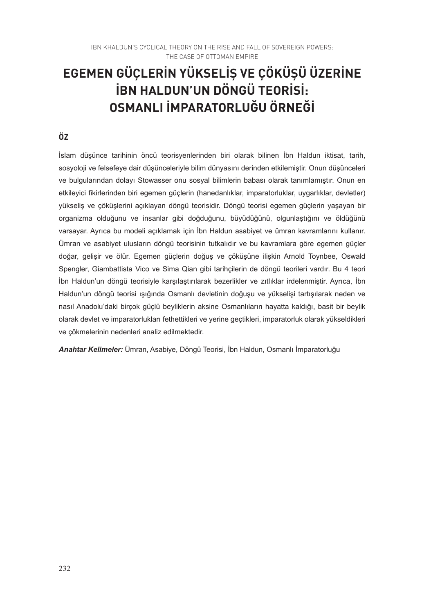# **EGEMEN GÜÇLERİN YÜKSELİŞ VE ÇÖKÜŞÜ ÜZERİNE İBN HALDUN'UN DÖNGÜ TEORİSİ: OSMANLI İMPARATORLUĞU ÖRNEĞİ**

#### **ÖZ**

İslam düşünce tarihinin öncü teorisyenlerinden biri olarak bilinen İbn Haldun iktisat, tarih, sosyoloji ve felsefeye dair düşünceleriyle bilim dünyasını derinden etkilemiştir. Onun düşünceleri ve bulgularından dolayı Stowasser onu sosyal bilimlerin babası olarak tanımlamıştır. Onun en etkileyici fikirlerinden biri egemen güçlerin (hanedanlıklar, imparatorluklar, uygarlıklar, devletler) yükseliş ve çöküşlerini açıklayan döngü teorisidir. Döngü teorisi egemen güçlerin yaşayan bir organizma olduğunu ve insanlar gibi doğduğunu, büyüdüğünü, olgunlaştığını ve öldüğünü varsayar. Ayrıca bu modeli açıklamak için İbn Haldun asabiyet ve ümran kavramlarını kullanır. Ümran ve asabiyet ulusların döngü teorisinin tutkalıdır ve bu kavramlara göre egemen güçler doğar, gelişir ve ölür. Egemen güçlerin doğuş ve çöküşüne ilişkin Arnold Toynbee, Oswald Spengler, Giambattista Vico ve Sima Qian gibi tarihçilerin de döngü teorileri vardır. Bu 4 teori İbn Haldun'un döngü teorisiyle karşılaştırılarak bezerlikler ve zıtlıklar irdelenmiştir. Ayrıca, İbn Haldun'un döngü teorisi ışığında Osmanlı devletinin doğuşu ve yükselişi tartışılarak neden ve nasıl Anadolu'daki birçok güçlü beyliklerin aksine Osmanlıların hayatta kaldığı, basit bir beylik olarak devlet ve imparatorlukları fethettikleri ve yerine geçtikleri, imparatorluk olarak yükseldikleri ve çökmelerinin nedenleri analiz edilmektedir.

*Anahtar Kelimeler:* Ümran, Asabiye, Döngü Teorisi, İbn Haldun, Osmanlı İmparatorluğu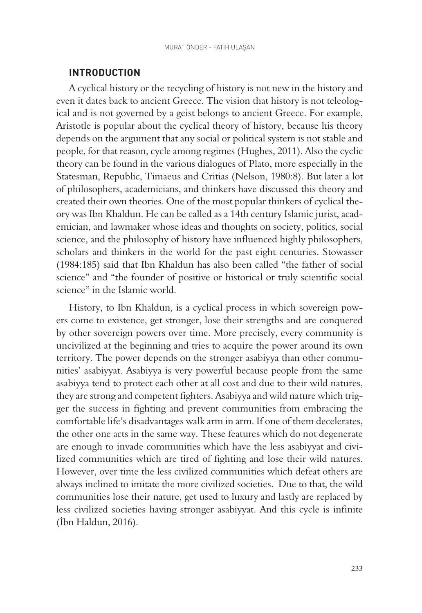#### **INTRODUCTION**

A cyclical history or the recycling of history is not new in the history and even it dates back to ancient Greece. The vision that history is not teleological and is not governed by a geist belongs to ancient Greece. For example, Aristotle is popular about the cyclical theory of history, because his theory depends on the argument that any social or political system is not stable and people, for that reason, cycle among regimes (Hughes, 2011). Also the cyclic theory can be found in the various dialogues of Plato, more especially in the Statesman, Republic, Timaeus and Critias (Nelson, 1980:8). But later a lot of philosophers, academicians, and thinkers have discussed this theory and created their own theories. One of the most popular thinkers of cyclical theory was Ibn Khaldun. He can be called as a 14th century Islamic jurist, academician, and lawmaker whose ideas and thoughts on society, politics, social science, and the philosophy of history have influenced highly philosophers, scholars and thinkers in the world for the past eight centuries. Stowasser (1984:185) said that Ibn Khaldun has also been called "the father of social science" and "the founder of positive or historical or truly scientific social science" in the Islamic world.

History, to Ibn Khaldun, is a cyclical process in which sovereign powers come to existence, get stronger, lose their strengths and are conquered by other sovereign powers over time. More precisely, every community is uncivilized at the beginning and tries to acquire the power around its own territory. The power depends on the stronger asabiyya than other communities' asabiyyat. Asabiyya is very powerful because people from the same asabiyya tend to protect each other at all cost and due to their wild natures, they are strong and competent fighters. Asabiyya and wild nature which trigger the success in fighting and prevent communities from embracing the comfortable life's disadvantages walk arm in arm. If one of them decelerates, the other one acts in the same way. These features which do not degenerate are enough to invade communities which have the less asabiyyat and civilized communities which are tired of fighting and lose their wild natures. However, over time the less civilized communities which defeat others are always inclined to imitate the more civilized societies. Due to that, the wild communities lose their nature, get used to luxury and lastly are replaced by less civilized societies having stronger asabiyyat. And this cycle is infinite (İbn Haldun, 2016).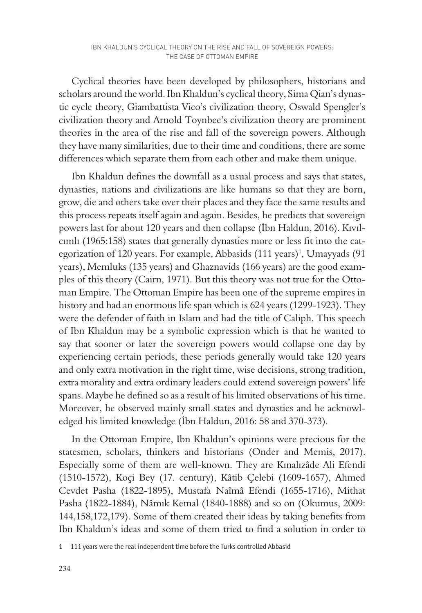Cyclical theories have been developed by philosophers, historians and scholars around the world. Ibn Khaldun's cyclical theory, Sima Qian's dynastic cycle theory, Giambattista Vico's civilization theory, Oswald Spengler's civilization theory and Arnold Toynbee's civilization theory are prominent theories in the area of the rise and fall of the sovereign powers. Although they have many similarities, due to their time and conditions, there are some differences which separate them from each other and make them unique.

Ibn Khaldun defines the downfall as a usual process and says that states, dynasties, nations and civilizations are like humans so that they are born, grow, die and others take over their places and they face the same results and this process repeats itself again and again. Besides, he predicts that sovereign powers last for about 120 years and then collapse (İbn Haldun, 2016). Kıvılcımlı (1965:158) states that generally dynasties more or less fit into the categorization of 120 years. For example, Abbasids (111 years)<sup>1</sup>, Umayyads (91 years), Memluks (135 years) and Ghaznavids (166 years) are the good examples of this theory (Cairn, 1971). But this theory was not true for the Ottoman Empire. The Ottoman Empire has been one of the supreme empires in history and had an enormous life span which is 624 years (1299-1923). They were the defender of faith in Islam and had the title of Caliph. This speech of Ibn Khaldun may be a symbolic expression which is that he wanted to say that sooner or later the sovereign powers would collapse one day by experiencing certain periods, these periods generally would take 120 years and only extra motivation in the right time, wise decisions, strong tradition, extra morality and extra ordinary leaders could extend sovereign powers' life spans. Maybe he defined so as a result of his limited observations of his time. Moreover, he observed mainly small states and dynasties and he acknowledged his limited knowledge (İbn Haldun, 2016: 58 and 370-373).

In the Ottoman Empire, Ibn Khaldun's opinions were precious for the statesmen, scholars, thinkers and historians (Onder and Memis, 2017). Especially some of them are well-known. They are Kınalızâde Ali Efendi (1510-1572), Koçi Bey (17. century), Kâtib Çelebi (1609-1657), Ahmed Cevdet Pasha (1822-1895), Mustafa Naîmâ Efendi (1655-1716), Mithat Pasha (1822-1884), Nâmık Kemal (1840-1888) and so on (Okumus, 2009: 144,158,172,179). Some of them created their ideas by taking benefits from Ibn Khaldun's ideas and some of them tried to find a solution in order to

<sup>1 111</sup> years were the real independent time before the Turks controlled Abbasid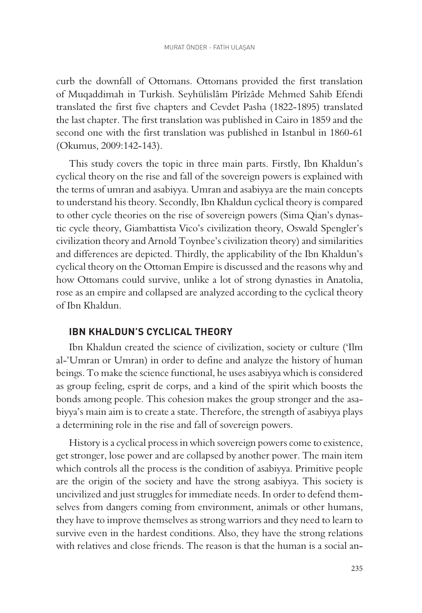curb the downfall of Ottomans. Ottomans provided the first translation of Muqaddimah in Turkish. Seyhülislâm Pîrîzâde Mehmed Sahib Efendi translated the first five chapters and Cevdet Pasha (1822-1895) translated the last chapter. The first translation was published in Cairo in 1859 and the second one with the first translation was published in Istanbul in 1860-61 (Okumus, 2009:142-143).

This study covers the topic in three main parts. Firstly, Ibn Khaldun's cyclical theory on the rise and fall of the sovereign powers is explained with the terms of umran and asabiyya. Umran and asabiyya are the main concepts to understand his theory. Secondly, Ibn Khaldun cyclical theory is compared to other cycle theories on the rise of sovereign powers (Sima Qian's dynastic cycle theory, Giambattista Vico's civilization theory, Oswald Spengler's civilization theory and Arnold Toynbee's civilization theory) and similarities and differences are depicted. Thirdly, the applicability of the Ibn Khaldun's cyclical theory on the Ottoman Empire is discussed and the reasons why and how Ottomans could survive, unlike a lot of strong dynasties in Anatolia, rose as an empire and collapsed are analyzed according to the cyclical theory of Ibn Khaldun.

#### **IBN KHALDUN'S CYCLICAL THEORY**

Ibn Khaldun created the science of civilization, society or culture ('Ilm al-'Umran or Umran) in order to define and analyze the history of human beings. To make the science functional, he uses asabiyya which is considered as group feeling, esprit de corps, and a kind of the spirit which boosts the bonds among people. This cohesion makes the group stronger and the asabiyya's main aim is to create a state. Therefore, the strength of asabiyya plays a determining role in the rise and fall of sovereign powers.

History is a cyclical process in which sovereign powers come to existence, get stronger, lose power and are collapsed by another power. The main item which controls all the process is the condition of asabiyya. Primitive people are the origin of the society and have the strong asabiyya. This society is uncivilized and just struggles for immediate needs. In order to defend themselves from dangers coming from environment, animals or other humans, they have to improve themselves as strong warriors and they need to learn to survive even in the hardest conditions. Also, they have the strong relations with relatives and close friends. The reason is that the human is a social an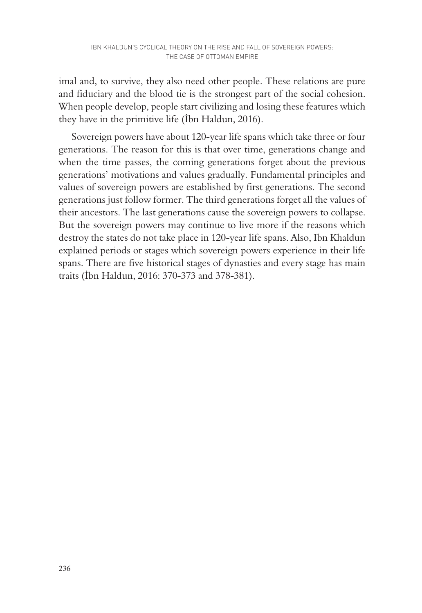imal and, to survive, they also need other people. These relations are pure and fiduciary and the blood tie is the strongest part of the social cohesion. When people develop, people start civilizing and losing these features which they have in the primitive life (İbn Haldun, 2016).

Sovereign powers have about 120-year life spans which take three or four generations. The reason for this is that over time, generations change and when the time passes, the coming generations forget about the previous generations' motivations and values gradually. Fundamental principles and values of sovereign powers are established by first generations. The second generations just follow former. The third generations forget all the values of their ancestors. The last generations cause the sovereign powers to collapse. But the sovereign powers may continue to live more if the reasons which destroy the states do not take place in 120-year life spans. Also, Ibn Khaldun explained periods or stages which sovereign powers experience in their life spans. There are five historical stages of dynasties and every stage has main traits (İbn Haldun, 2016: 370-373 and 378-381).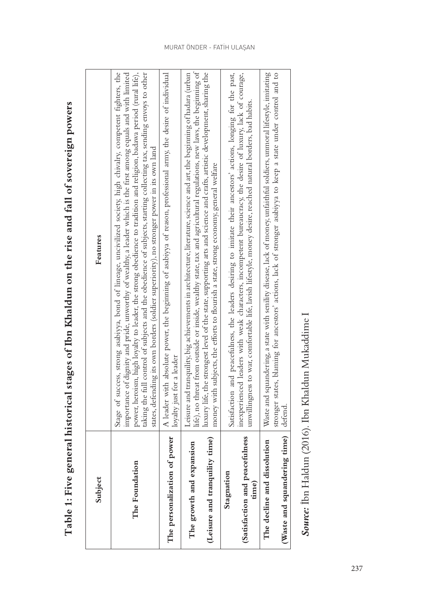| Subject                                                                  | Features                                                                                                                                                                                                                                                                                                                                                                                                                                                                                                                                                                       |
|--------------------------------------------------------------------------|--------------------------------------------------------------------------------------------------------------------------------------------------------------------------------------------------------------------------------------------------------------------------------------------------------------------------------------------------------------------------------------------------------------------------------------------------------------------------------------------------------------------------------------------------------------------------------|
| The Foundation                                                           | Stage of success, strong asabiyya, bond of lineage, uncivilized society, high chivalry, competent fighters, the<br>taking the full control of subjects and the obedience of subjects, starting collecting tax, sending envoys to other<br>importance of dignity and pride, unworthy of wealthy, a leader which is the first among equals and with limited<br>power, heroism, high loyalty to leader, the strong obedience to tradition and religion, badawa period (rural life),<br>states, defending its own borders (soldier superiority), no stronger power in its own land |
| The personalization of power                                             | A leader with absolute power, the beginning of asabiyya of reason, professional army, the desire of individual<br>loyalty just for a leader                                                                                                                                                                                                                                                                                                                                                                                                                                    |
| (Leisure and tranquility time)<br>noiamatxe<br>The growth and            | life), no threat from outside or inside, wealthy state, tax and agricultural regulations, new laws, the beginning of<br>Leisure and tranquility, big achievements in architecture, literature, science and art, the beginning of hadara (urban<br>luxury life, the strongest level of the state, supporting arts and science and crafts, artistic development, sharing the<br>money with subjects, the efforts to flourish a state, strong economy, general welfare                                                                                                            |
| (Satisfaction and peacefulness<br>Stagnation<br>time)                    | Satisfaction and peacefulness, the leaders desiring to imitate their ancestors' actions, longing for the past,<br>inexperienced leaders with weak characters, incompetent bureaucracy, the desire of luxury, lack of courage,<br>unwillingness to war, comfortable life, lavish lifestyle, money desire, reached natural borders, bad habits.                                                                                                                                                                                                                                  |
| (Waste and squandering time) defend.<br>tissolution<br>The decline and d | Waste and squandering, a state with senility disease, lack of money, unfaithful soldiers, unmoral lifestyle, imitating<br>stronger states, blaming for ancestors' actions, lack of stronger asabiyya to keep a state under control and to                                                                                                                                                                                                                                                                                                                                      |
|                                                                          |                                                                                                                                                                                                                                                                                                                                                                                                                                                                                                                                                                                |

Table 1: Five general historical stages of Ibn Khaldun on the rise and fall of sovereign powers **Table 1: Five general historical stages of Ibn Khaldun on the rise and fall of sovereign powers**

Source: İbn Haldun (2016). Ibn Khaldun Mukaddime I *Source:* İbn Haldun (2016). Ibn Khaldun Mukaddime I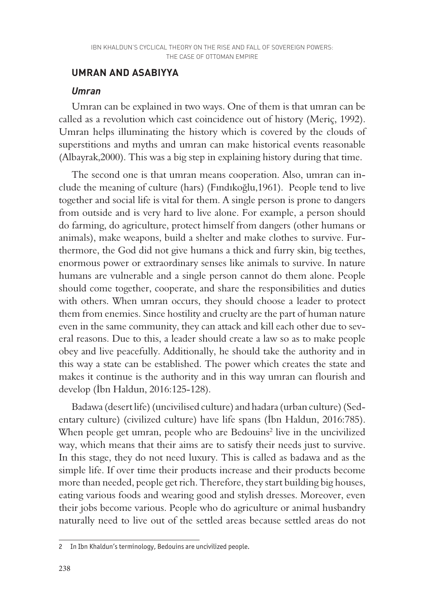## **UMRAN AND ASABIYYA**

#### *Umran*

Umran can be explained in two ways. One of them is that umran can be called as a revolution which cast coincidence out of history (Meriç, 1992). Umran helps illuminating the history which is covered by the clouds of superstitions and myths and umran can make historical events reasonable (Albayrak,2000). This was a big step in explaining history during that time.

The second one is that umran means cooperation. Also, umran can include the meaning of culture (hars) (Fındıkoğlu,1961). People tend to live together and social life is vital for them. A single person is prone to dangers from outside and is very hard to live alone. For example, a person should do farming, do agriculture, protect himself from dangers (other humans or animals), make weapons, build a shelter and make clothes to survive. Furthermore, the God did not give humans a thick and furry skin, big teethes, enormous power or extraordinary senses like animals to survive. In nature humans are vulnerable and a single person cannot do them alone. People should come together, cooperate, and share the responsibilities and duties with others. When umran occurs, they should choose a leader to protect them from enemies. Since hostility and cruelty are the part of human nature even in the same community, they can attack and kill each other due to several reasons. Due to this, a leader should create a law so as to make people obey and live peacefully. Additionally, he should take the authority and in this way a state can be established. The power which creates the state and makes it continue is the authority and in this way umran can flourish and develop (İbn Haldun, 2016:125-128).

Badawa (desert life) (uncivilised culture) and hadara (urban culture) (Sedentary culture) (civilized culture) have life spans (İbn Haldun, 2016:785). When people get umran, people who are Bedouins<sup>2</sup> live in the uncivilized way, which means that their aims are to satisfy their needs just to survive. In this stage, they do not need luxury. This is called as badawa and as the simple life. If over time their products increase and their products become more than needed, people get rich. Therefore, they start building big houses, eating various foods and wearing good and stylish dresses. Moreover, even their jobs become various. People who do agriculture or animal husbandry naturally need to live out of the settled areas because settled areas do not

<sup>2</sup> In Ibn Khaldun's terminology, Bedouins are uncivilized people.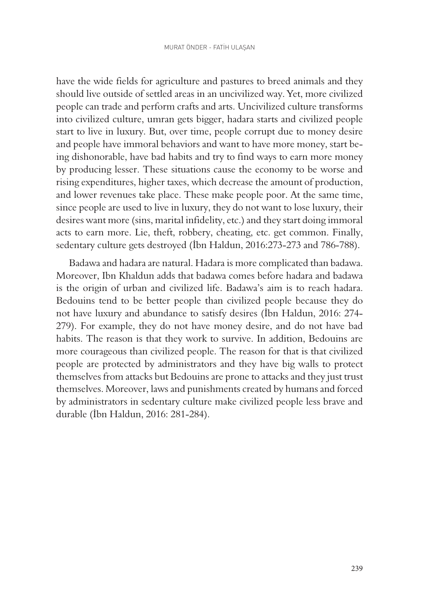have the wide fields for agriculture and pastures to breed animals and they should live outside of settled areas in an uncivilized way. Yet, more civilized people can trade and perform crafts and arts. Uncivilized culture transforms into civilized culture, umran gets bigger, hadara starts and civilized people start to live in luxury. But, over time, people corrupt due to money desire and people have immoral behaviors and want to have more money, start being dishonorable, have bad habits and try to find ways to earn more money by producing lesser. These situations cause the economy to be worse and rising expenditures, higher taxes, which decrease the amount of production, and lower revenues take place. These make people poor. At the same time, since people are used to live in luxury, they do not want to lose luxury, their desires want more (sins, marital infidelity, etc.) and they start doing immoral acts to earn more. Lie, theft, robbery, cheating, etc. get common. Finally, sedentary culture gets destroyed (İbn Haldun, 2016:273-273 and 786-788).

Badawa and hadara are natural. Hadara is more complicated than badawa. Moreover, Ibn Khaldun adds that badawa comes before hadara and badawa is the origin of urban and civilized life. Badawa's aim is to reach hadara. Bedouins tend to be better people than civilized people because they do not have luxury and abundance to satisfy desires (İbn Haldun, 2016: 274- 279). For example, they do not have money desire, and do not have bad habits. The reason is that they work to survive. In addition, Bedouins are more courageous than civilized people. The reason for that is that civilized people are protected by administrators and they have big walls to protect themselves from attacks but Bedouins are prone to attacks and they just trust themselves. Moreover, laws and punishments created by humans and forced by administrators in sedentary culture make civilized people less brave and durable (İbn Haldun, 2016: 281-284).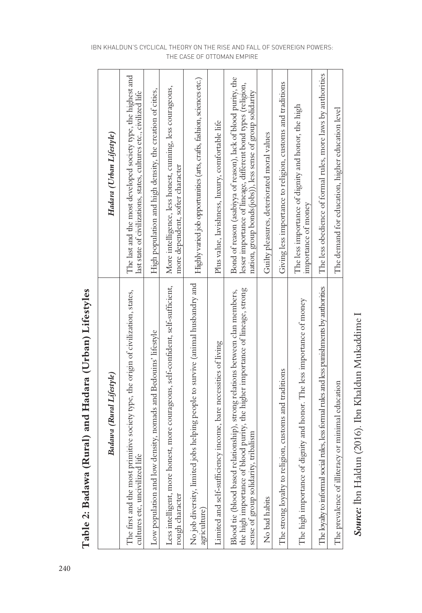| Badawa (Rural Lifestyle)                                                                                                                                                                              | Hadara (Urban Lifestyle)                                                                                                                                                                      |
|-------------------------------------------------------------------------------------------------------------------------------------------------------------------------------------------------------|-----------------------------------------------------------------------------------------------------------------------------------------------------------------------------------------------|
| primitive society type, the origin of civilization, states,<br>cultures etc, uncivilized life<br>The first and the most                                                                               | The last and the most developed society type, the highest and<br>last state of civilizations, states, cultures etc., civilized life                                                           |
| Low population and low density, nomads and Bedouins' lifestyle                                                                                                                                        | High population and high density, the creation of cities,                                                                                                                                     |
| honest, more courageous, self-confident, self-sufficient,<br>Less intelligent, more<br>rough character                                                                                                | More intelligence, less honest, cuming, less courageous,<br>more dependent, softer character                                                                                                  |
| No job diversity, limited jobs helping people to survive (animal husbandry and<br>agriculture)                                                                                                        | Highly varied job opportunities (arts, crafts, fashion, sciences etc.)                                                                                                                        |
| Limited and self-sufficiency income, bare necessities of living                                                                                                                                       | Plus value, lavishness, luxury, comfortable life                                                                                                                                              |
| the high importance of blood purity, the higher importance of lineage, strong<br>Blood tie (blood based relationship), strong relations between clan members,<br>sense of group solidarity, tribalism | Bond of reason (asabiyya of reason), lack of blood purity, the<br>lesser importance of lineage, different bond types (religion,<br>nation, group bonds(jobs)), less sense of group solidarity |
| No bad habits                                                                                                                                                                                         | Guilty pleasures, deteriorated moral values                                                                                                                                                   |
| The strong loyalty to religion, customs and traditions                                                                                                                                                | Giving less importance to religion, customs and traditions                                                                                                                                    |
| The high importance of dignity and honor. The less importance of money                                                                                                                                | The less importance of dignity and honor, the high<br>importance of money                                                                                                                     |
| The loyalty to informal social rules, less formal rules and less punishments by authorities                                                                                                           | The less obedience of formal rules, more laws by authorities                                                                                                                                  |
| The prevalence of illiteracy or minimal education                                                                                                                                                     | The demand for education, higher education level                                                                                                                                              |

Table 2: Badawa (Rural) and Hadara (Urban) Lifestyles **Table 2: Badawa (Rural) and Hadara (Urban) Lifestyles**

Source: İbn Haldun (2016). Ibn Khaldun Mukaddime I *Source:* İbn Haldun (2016). Ibn Khaldun Mukaddime I

#### IBN KHALDUN'S CYCLICAL THEORY ON THE RISE AND FALL OF SOVEREIGN POWERS: THE CASE OF OTTOMAN EMPIRE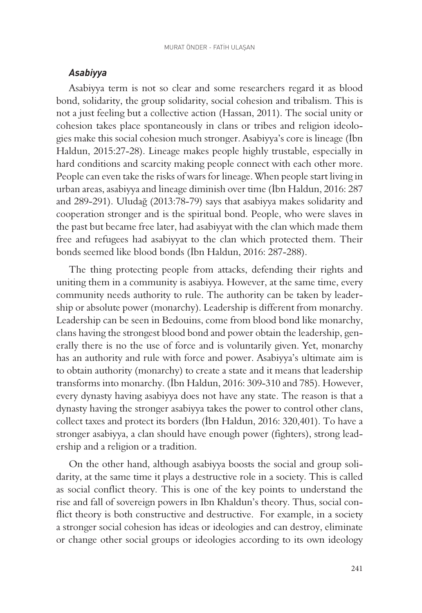## *Asabiyya*

Asabiyya term is not so clear and some researchers regard it as blood bond, solidarity, the group solidarity, social cohesion and tribalism. This is not a just feeling but a collective action (Hassan, 2011). The social unity or cohesion takes place spontaneously in clans or tribes and religion ideologies make this social cohesion much stronger. Asabiyya's core is lineage (İbn Haldun, 2015:27-28). Lineage makes people highly trustable, especially in hard conditions and scarcity making people connect with each other more. People can even take the risks of wars for lineage. When people start living in urban areas, asabiyya and lineage diminish over time (İbn Haldun, 2016: 287 and 289-291). Uludağ (2013:78-79) says that asabiyya makes solidarity and cooperation stronger and is the spiritual bond. People, who were slaves in the past but became free later, had asabiyyat with the clan which made them free and refugees had asabiyyat to the clan which protected them. Their bonds seemed like blood bonds (İbn Haldun, 2016: 287-288).

The thing protecting people from attacks, defending their rights and uniting them in a community is asabiyya. However, at the same time, every community needs authority to rule. The authority can be taken by leadership or absolute power (monarchy). Leadership is different from monarchy. Leadership can be seen in Bedouins, come from blood bond like monarchy, clans having the strongest blood bond and power obtain the leadership, generally there is no the use of force and is voluntarily given. Yet, monarchy has an authority and rule with force and power. Asabiyya's ultimate aim is to obtain authority (monarchy) to create a state and it means that leadership transforms into monarchy. (İbn Haldun, 2016: 309-310 and 785). However, every dynasty having asabiyya does not have any state. The reason is that a dynasty having the stronger asabiyya takes the power to control other clans, collect taxes and protect its borders (İbn Haldun, 2016: 320,401). To have a stronger asabiyya, a clan should have enough power (fighters), strong leadership and a religion or a tradition.

On the other hand, although asabiyya boosts the social and group solidarity, at the same time it plays a destructive role in a society. This is called as social conflict theory. This is one of the key points to understand the rise and fall of sovereign powers in Ibn Khaldun's theory. Thus, social conflict theory is both constructive and destructive. For example, in a society a stronger social cohesion has ideas or ideologies and can destroy, eliminate or change other social groups or ideologies according to its own ideology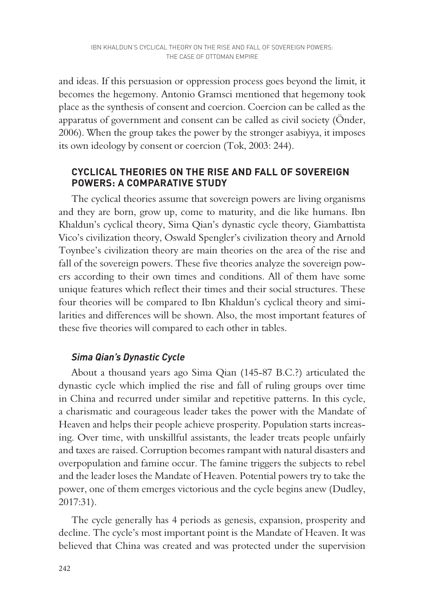and ideas. If this persuasion or oppression process goes beyond the limit, it becomes the hegemony. Antonio Gramsci mentioned that hegemony took place as the synthesis of consent and coercion. Coercion can be called as the apparatus of government and consent can be called as civil society (Önder, 2006). When the group takes the power by the stronger asabiyya, it imposes its own ideology by consent or coercion (Tok, 2003: 244).

## **CYCLICAL THEORIES ON THE RISE AND FALL OF SOVEREIGN POWERS: A COMPARATIVE STUDY**

The cyclical theories assume that sovereign powers are living organisms and they are born, grow up, come to maturity, and die like humans. Ibn Khaldun's cyclical theory, Sima Qian's dynastic cycle theory, Giambattista Vico's civilization theory, Oswald Spengler's civilization theory and Arnold Toynbee's civilization theory are main theories on the area of the rise and fall of the sovereign powers. These five theories analyze the sovereign powers according to their own times and conditions. All of them have some unique features which reflect their times and their social structures. These four theories will be compared to Ibn Khaldun's cyclical theory and similarities and differences will be shown. Also, the most important features of these five theories will compared to each other in tables.

# *Sima Qian's Dynastic Cycle*

About a thousand years ago Sima Qian (145-87 B.C.?) articulated the dynastic cycle which implied the rise and fall of ruling groups over time in China and recurred under similar and repetitive patterns. In this cycle, a charismatic and courageous leader takes the power with the Mandate of Heaven and helps their people achieve prosperity. Population starts increasing. Over time, with unskillful assistants, the leader treats people unfairly and taxes are raised. Corruption becomes rampant with natural disasters and overpopulation and famine occur. The famine triggers the subjects to rebel and the leader loses the Mandate of Heaven. Potential powers try to take the power, one of them emerges victorious and the cycle begins anew (Dudley, 2017:31).

The cycle generally has 4 periods as genesis, expansion, prosperity and decline. The cycle's most important point is the Mandate of Heaven. It was believed that China was created and was protected under the supervision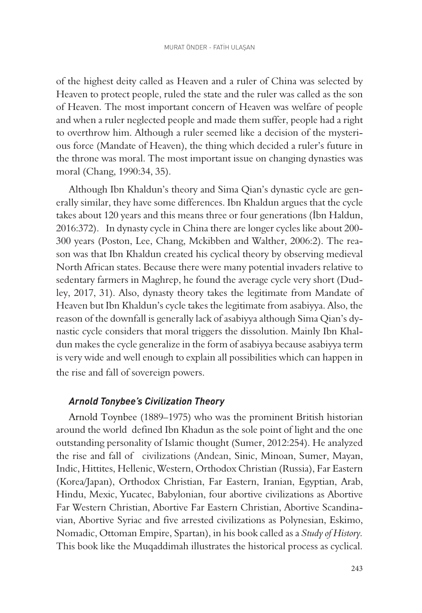of the highest deity called as Heaven and a ruler of China was selected by Heaven to protect people, ruled the state and the ruler was called as the son of Heaven. The most important concern of Heaven was welfare of people and when a ruler neglected people and made them suffer, people had a right to overthrow him. Although a ruler seemed like a decision of the mysterious force (Mandate of Heaven), the thing which decided a ruler's future in the throne was moral. The most important issue on changing dynasties was moral (Chang, 1990:34, 35).

Although Ibn Khaldun's theory and Sima Qian's dynastic cycle are generally similar, they have some differences. Ibn Khaldun argues that the cycle takes about 120 years and this means three or four generations (İbn Haldun, 2016:372). In dynasty cycle in China there are longer cycles like about 200- 300 years (Poston, Lee, Chang, Mckibben and Walther, 2006:2). The reason was that Ibn Khaldun created his cyclical theory by observing medieval North African states. Because there were many potential invaders relative to sedentary farmers in Maghrep, he found the average cycle very short (Dudley, 2017, 31). Also, dynasty theory takes the legitimate from Mandate of Heaven but Ibn Khaldun's cycle takes the legitimate from asabiyya. Also, the reason of the downfall is generally lack of asabiyya although Sima Qian's dynastic cycle considers that moral triggers the dissolution. Mainly Ibn Khaldun makes the cycle generalize in the form of asabiyya because asabiyya term is very wide and well enough to explain all possibilities which can happen in the rise and fall of sovereign powers.

#### *Arnold Tonybee's Civilization Theory*

Arnold Toynbee (1889–1975) who was the prominent British historian around the world defined Ibn Khadun as the sole point of light and the one outstanding personality of Islamic thought (Sumer, 2012:254). He analyzed the rise and fall of civilizations (Andean, Sinic, Minoan, Sumer, Mayan, Indic, Hittites, Hellenic, Western, Orthodox Christian (Russia), Far Eastern (Korea/Japan), Orthodox Christian, Far Eastern, Iranian, Egyptian, Arab, Hindu, Mexic, Yucatec, Babylonian, four abortive civilizations as Abortive Far Western Christian, Abortive Far Eastern Christian, Abortive Scandinavian, Abortive Syriac and five arrested civilizations as Polynesian, Eskimo, Nomadic, Ottoman Empire, Spartan), in his book called as a *Study of History.*  This book like the Muqaddimah illustrates the historical process as cyclical.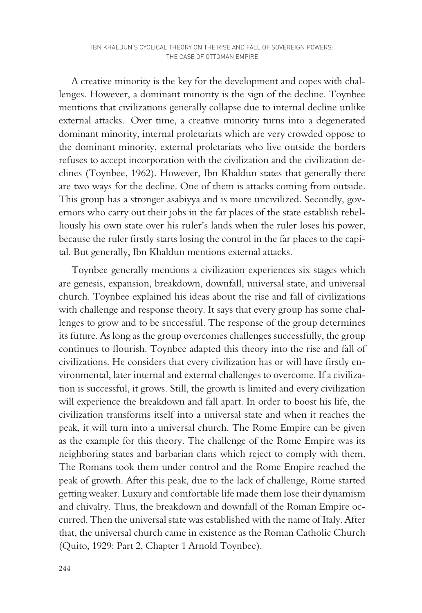A creative minority is the key for the development and copes with challenges. However, a dominant minority is the sign of the decline. Toynbee mentions that civilizations generally collapse due to internal decline unlike external attacks. Over time, a creative minority turns into a degenerated dominant minority, internal proletariats which are very crowded oppose to the dominant minority, external proletariats who live outside the borders refuses to accept incorporation with the civilization and the civilization declines (Toynbee, 1962). However, Ibn Khaldun states that generally there are two ways for the decline. One of them is attacks coming from outside. This group has a stronger asabiyya and is more uncivilized. Secondly, governors who carry out their jobs in the far places of the state establish rebelliously his own state over his ruler's lands when the ruler loses his power, because the ruler firstly starts losing the control in the far places to the capital. But generally, Ibn Khaldun mentions external attacks.

Toynbee generally mentions a civilization experiences six stages which are genesis, expansion, breakdown, downfall, universal state, and universal church. Toynbee explained his ideas about the rise and fall of civilizations with challenge and response theory. It says that every group has some challenges to grow and to be successful. The response of the group determines its future. As long as the group overcomes challenges successfully, the group continues to flourish. Toynbee adapted this theory into the rise and fall of civilizations. He considers that every civilization has or will have firstly environmental, later internal and external challenges to overcome. If a civilization is successful, it grows. Still, the growth is limited and every civilization will experience the breakdown and fall apart. In order to boost his life, the civilization transforms itself into a universal state and when it reaches the peak, it will turn into a universal church. The Rome Empire can be given as the example for this theory. The challenge of the Rome Empire was its neighboring states and barbarian clans which reject to comply with them. The Romans took them under control and the Rome Empire reached the peak of growth. After this peak, due to the lack of challenge, Rome started getting weaker. Luxury and comfortable life made them lose their dynamism and chivalry. Thus, the breakdown and downfall of the Roman Empire occurred. Then the universal state was established with the name of Italy. After that, the universal church came in existence as the Roman Catholic Church (Quito, 1929: Part 2, Chapter 1 Arnold Toynbee).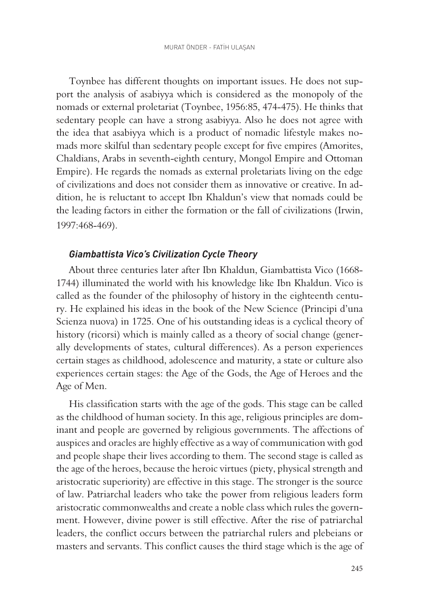Toynbee has different thoughts on important issues. He does not support the analysis of asabiyya which is considered as the monopoly of the nomads or external proletariat (Toynbee, 1956:85, 474-475). He thinks that sedentary people can have a strong asabiyya. Also he does not agree with the idea that asabiyya which is a product of nomadic lifestyle makes nomads more skilful than sedentary people except for five empires (Amorites, Chaldians, Arabs in seventh-eighth century, Mongol Empire and Ottoman Empire). He regards the nomads as external proletariats living on the edge of civilizations and does not consider them as innovative or creative. In addition, he is reluctant to accept Ibn Khaldun's view that nomads could be the leading factors in either the formation or the fall of civilizations (Irwin, 1997:468-469).

#### *Giambattista Vico's Civilization Cycle Theory*

About three centuries later after Ibn Khaldun, Giambattista Vico (1668- 1744) illuminated the world with his knowledge like Ibn Khaldun. Vico is called as the founder of the philosophy of history in the eighteenth century. He explained his ideas in the book of the New Science (Principi d'una Scienza nuova) in 1725. One of his outstanding ideas is a cyclical theory of history (ricorsi) which is mainly called as a theory of social change (generally developments of states, cultural differences). As a person experiences certain stages as childhood, adolescence and maturity, a state or culture also experiences certain stages: the Age of the Gods, the Age of Heroes and the Age of Men.

His classification starts with the age of the gods. This stage can be called as the childhood of human society. In this age, religious principles are dominant and people are governed by religious governments. The affections of auspices and oracles are highly effective as a way of communication with god and people shape their lives according to them. The second stage is called as the age of the heroes, because the heroic virtues (piety, physical strength and aristocratic superiority) are effective in this stage. The stronger is the source of law. Patriarchal leaders who take the power from religious leaders form aristocratic commonwealths and create a noble class which rules the government. However, divine power is still effective. After the rise of patriarchal leaders, the conflict occurs between the patriarchal rulers and plebeians or masters and servants. This conflict causes the third stage which is the age of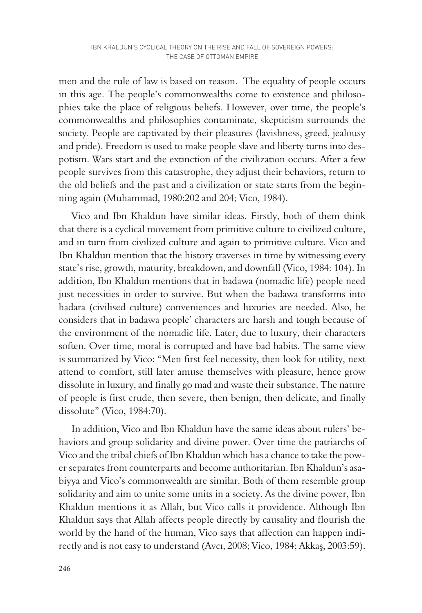men and the rule of law is based on reason. The equality of people occurs in this age. The people's commonwealths come to existence and philosophies take the place of religious beliefs. However, over time, the people's commonwealths and philosophies contaminate, skepticism surrounds the society. People are captivated by their pleasures (lavishness, greed, jealousy and pride). Freedom is used to make people slave and liberty turns into despotism. Wars start and the extinction of the civilization occurs. After a few people survives from this catastrophe, they adjust their behaviors, return to the old beliefs and the past and a civilization or state starts from the beginning again (Muhammad, 1980:202 and 204; Vico, 1984).

Vico and Ibn Khaldun have similar ideas. Firstly, both of them think that there is a cyclical movement from primitive culture to civilized culture, and in turn from civilized culture and again to primitive culture. Vico and Ibn Khaldun mention that the history traverses in time by witnessing every state's rise, growth, maturity, breakdown, and downfall (Vico, 1984: 104). In addition, Ibn Khaldun mentions that in badawa (nomadic life) people need just necessities in order to survive. But when the badawa transforms into hadara (civilised culture) conveniences and luxuries are needed. Also, he considers that in badawa people' characters are harsh and tough because of the environment of the nomadic life. Later, due to luxury, their characters soften. Over time, moral is corrupted and have bad habits. The same view is summarized by Vico: "Men first feel necessity, then look for utility, next attend to comfort, still later amuse themselves with pleasure, hence grow dissolute in luxury, and finally go mad and waste their substance. The nature of people is first crude, then severe, then benign, then delicate, and finally dissolute" (Vico, 1984:70).

In addition, Vico and Ibn Khaldun have the same ideas about rulers' behaviors and group solidarity and divine power. Over time the patriarchs of Vico and the tribal chiefs of Ibn Khaldun which has a chance to take the power separates from counterparts and become authoritarian. Ibn Khaldun's asabiyya and Vico's commonwealth are similar. Both of them resemble group solidarity and aim to unite some units in a society. As the divine power, Ibn Khaldun mentions it as Allah, but Vico calls it providence. Although Ibn Khaldun says that Allah affects people directly by causality and flourish the world by the hand of the human, Vico says that affection can happen indirectly and is not easy to understand (Avcı, 2008; Vico, 1984; Akkaş, 2003:59).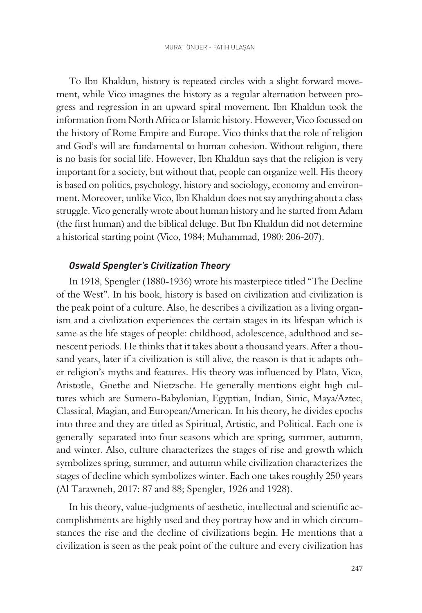To Ibn Khaldun, history is repeated circles with a slight forward movement, while Vico imagines the history as a regular alternation between progress and regression in an upward spiral movement. Ibn Khaldun took the information from North Africa or Islamic history. However, Vico focussed on the history of Rome Empire and Europe. Vico thinks that the role of religion and God's will are fundamental to human cohesion. Without religion, there is no basis for social life. However, Ibn Khaldun says that the religion is very important for a society, but without that, people can organize well. His theory is based on politics, psychology, history and sociology, economy and environment. Moreover, unlike Vico, Ibn Khaldun does not say anything about a class struggle. Vico generally wrote about human history and he started from Adam (the first human) and the biblical deluge. But Ibn Khaldun did not determine a historical starting point (Vico, 1984; Muhammad, 1980: 206-207).

#### *Oswald Spengler's Civilization Theory*

In 1918, Spengler (1880-1936) wrote his masterpiece titled "The Decline of the West". In his book, history is based on civilization and civilization is the peak point of a culture. Also, he describes a civilization as a living organism and a civilization experiences the certain stages in its lifespan which is same as the life stages of people: childhood, adolescence, adulthood and senescent periods. He thinks that it takes about a thousand years. After a thousand years, later if a civilization is still alive, the reason is that it adapts other religion's myths and features. His theory was influenced by Plato, Vico, Aristotle, Goethe and Nietzsche. He generally mentions eight high cultures which are Sumero-Babylonian, Egyptian, Indian, Sinic, Maya/Aztec, Classical, Magian, and European/American. In his theory, he divides epochs into three and they are titled as Spiritual, Artistic, and Political. Each one is generally separated into four seasons which are spring, summer, autumn, and winter. Also, culture characterizes the stages of rise and growth which symbolizes spring, summer, and autumn while civilization characterizes the stages of decline which symbolizes winter. Each one takes roughly 250 years (Al Tarawneh, 2017: 87 and 88; Spengler, 1926 and 1928).

In his theory, value-judgments of aesthetic, intellectual and scientific accomplishments are highly used and they portray how and in which circumstances the rise and the decline of civilizations begin. He mentions that a civilization is seen as the peak point of the culture and every civilization has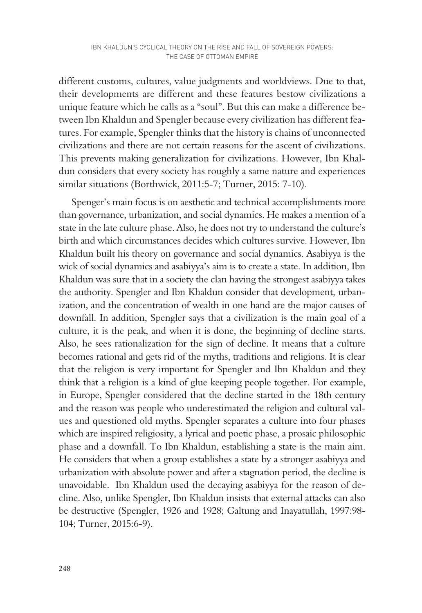different customs, cultures, value judgments and worldviews. Due to that, their developments are different and these features bestow civilizations a unique feature which he calls as a "soul". But this can make a difference between Ibn Khaldun and Spengler because every civilization has different features. For example, Spengler thinks that the history is chains of unconnected civilizations and there are not certain reasons for the ascent of civilizations. This prevents making generalization for civilizations. However, Ibn Khaldun considers that every society has roughly a same nature and experiences similar situations (Borthwick, 2011:5-7; Turner, 2015: 7-10).

Spenger's main focus is on aesthetic and technical accomplishments more than governance, urbanization, and social dynamics. He makes a mention of a state in the late culture phase. Also, he does not try to understand the culture's birth and which circumstances decides which cultures survive. However, Ibn Khaldun built his theory on governance and social dynamics. Asabiyya is the wick of social dynamics and asabiyya's aim is to create a state. In addition, Ibn Khaldun was sure that in a society the clan having the strongest asabiyya takes the authority. Spengler and Ibn Khaldun consider that development, urbanization, and the concentration of wealth in one hand are the major causes of downfall. In addition, Spengler says that a civilization is the main goal of a culture, it is the peak, and when it is done, the beginning of decline starts. Also, he sees rationalization for the sign of decline. It means that a culture becomes rational and gets rid of the myths, traditions and religions. It is clear that the religion is very important for Spengler and Ibn Khaldun and they think that a religion is a kind of glue keeping people together. For example, in Europe, Spengler considered that the decline started in the 18th century and the reason was people who underestimated the religion and cultural values and questioned old myths. Spengler separates a culture into four phases which are inspired religiosity, a lyrical and poetic phase, a prosaic philosophic phase and a downfall. To Ibn Khaldun, establishing a state is the main aim. He considers that when a group establishes a state by a stronger asabiyya and urbanization with absolute power and after a stagnation period, the decline is unavoidable. Ibn Khaldun used the decaying asabiyya for the reason of decline. Also, unlike Spengler, Ibn Khaldun insists that external attacks can also be destructive (Spengler, 1926 and 1928; Galtung and Inayatullah, 1997:98- 104; Turner, 2015:6-9).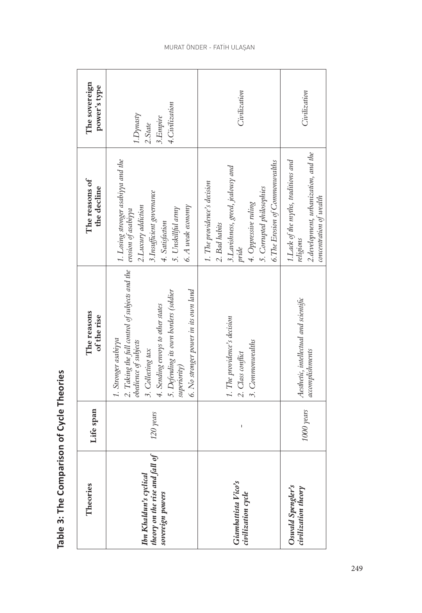| Theories                                                                     | Life span  | The reasons<br>of the rise                                                                                                                                                                                                                                 | The reasons of<br>the decline                                                                                                                                                       | The sovereign<br>power's type                       |
|------------------------------------------------------------------------------|------------|------------------------------------------------------------------------------------------------------------------------------------------------------------------------------------------------------------------------------------------------------------|-------------------------------------------------------------------------------------------------------------------------------------------------------------------------------------|-----------------------------------------------------|
| theory on the rise and fall of<br>Ibn Khaldun's cyclical<br>sovereign powers | 120 years  | 2. Taking the full control of subjects and the<br>6. No stronger power in its own land<br>5. Defending its own borders (soldier<br>4. Sending envoys to other states<br>1. Stronger asabiyya<br>obedience of subjects<br>3. Collecting tax<br>superiority) | 1. Losing stronger asabiyya and the<br>3.Insufficient governance<br>6. A weak economy<br>2.Luxury addiction<br>5. Unskillful army<br>erosion of asabiyya<br>4. Satisfaction         | 4. Civilization<br>1.Dynasty<br>3.Empire<br>2.State |
| Giambattista Vico's<br>civilization cycle                                    | I          | 1. The providence's decision<br>3. Commonwealths<br>2. Class conflict                                                                                                                                                                                      | 6.The Erosion of Commonwealths<br>3. Lavishness, greed, jealousy and<br>1. The providence's decision<br>5. Corrupted philosophies<br>4. Oppressive ruling<br>2. Bad habits<br>pride | Civilization                                        |
| Oswald Spengler's<br>civilization theory                                     | 1000 years | Aesthetic, intellectual and scientific<br>accomplishments                                                                                                                                                                                                  | 2. development, urbanization, and the<br>1. Lack of the myths, traditions and<br>concentration of wealth<br>religions                                                               | Civilization                                        |

Table 3: The Comparison of Cycle Theories **Table 3: The Comparison of Cycle Theories**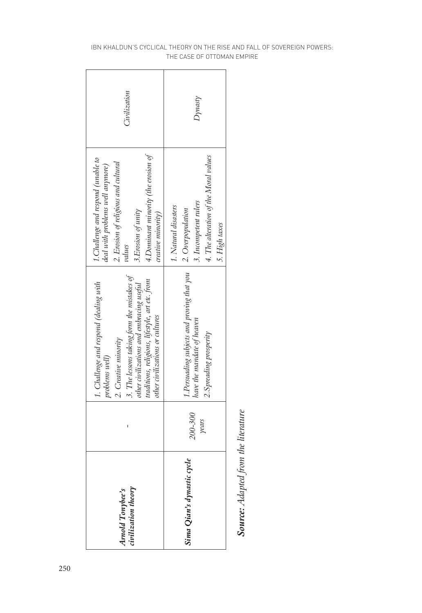| 3. The lessons taking form the mistakes of<br>traditions, religions, lifestyle, art etc. from<br>other civilizations and embracing useful<br>1. Challenge and respond (dealing with<br>other civilizations or cultures<br>2. Creative minority<br>problems well) |
|------------------------------------------------------------------------------------------------------------------------------------------------------------------------------------------------------------------------------------------------------------------|
| 1. Persuading subjects and proving that you<br>have the mandate of heaven<br>2. Spreading prosperity<br>200-300                                                                                                                                                  |

Source: Adapted from the literature *Source: Adapted from the literature*

#### IBN KHALDUN'S CYCLICAL THEORY ON THE RISE AND FALL OF SOVEREIGN POWERS: THE CASE OF OTTOMAN EMPIRE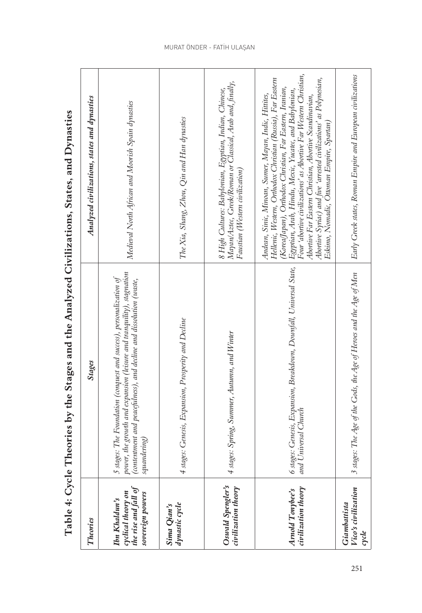| Theories                                                                        | <b>Stages</b>                                                                                                                                                                                                                   | Analyzed civilizations, states and dynasties                                                                                                                                                                                                                                                                                                                                                                                                                                               |
|---------------------------------------------------------------------------------|---------------------------------------------------------------------------------------------------------------------------------------------------------------------------------------------------------------------------------|--------------------------------------------------------------------------------------------------------------------------------------------------------------------------------------------------------------------------------------------------------------------------------------------------------------------------------------------------------------------------------------------------------------------------------------------------------------------------------------------|
| the rise and fall of<br>cyclical theory on<br>sovereign powers<br>Ibn Khaldun's | oower, the growth and expansion (leisure and tranquility), stagnation<br>stages: The Foundation (conquest and success), personalization of<br>contentment and peacefulness), and decline and dissolution (waste,<br>quandering) | Medieval North African and Moorish Spain dynasties                                                                                                                                                                                                                                                                                                                                                                                                                                         |
| dynastic cycle<br>Sima Qian's                                                   | stages: Genesis, Expansion, Prosperity and Decline                                                                                                                                                                              | The Xia, Shang, Zhou, Qin and Han dynasties                                                                                                                                                                                                                                                                                                                                                                                                                                                |
| Oswald Spengler's<br>civilization theory                                        | stages: Spring, Summer, Autumn, and Winter                                                                                                                                                                                      | Mayan/Aztec, Greek/Roman or Classical, Arab and, finally,<br>8 High Cultures: Babylonian, Egyptian, Indian, Chinese,<br>Faustian (Western civilization)                                                                                                                                                                                                                                                                                                                                    |
| civilization theory<br>Amold Tonybee's                                          | 5 stages: Genesis, Expansion, Breakdown, Downfall, Universal State,<br>and Universal Church                                                                                                                                     | Four 'abortive civilizations' as Abortive Far Western Christian,<br>Hellenic, Western, Orthodox Christian (Russia), Far Eastern<br>Abortive Syriac) and five 'arrested civilizations' as Polynesian,<br>(Korea/Japan), Orthodox Christian, Far Eastern, Iranian,<br>Egyptian, Arab, Hindu, Mexic, Yucatec, and Babylonian,<br>Andean, Sinic, Minoan, Sumer, Mayan, Indic, Hittites,<br>Abortive Far Eastern Christian, Abortive Scandinavian,<br>Eskimo, Nomadic, Ottoman Empire, Spartan) |
| Vico's civilization<br>Giambattista<br>cycle                                    | stages: The Age of the Gods, the Age of Heroes and the Age of Men                                                                                                                                                               | Early Greek states, Roman Empire and European civilizations                                                                                                                                                                                                                                                                                                                                                                                                                                |

Table 4: Cycle Theories by the Stages and the Analyzed Civilizations, States, and Dynasties **Table 4: Cycle Theories by the Stages and the Analyzed Civilizations, States, and Dynasties**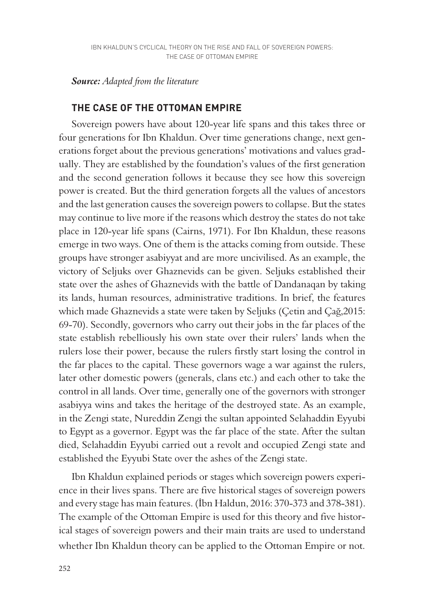#### *Source: Adapted from the literature*

## **THE CASE OF THE OTTOMAN EMPIRE**

Sovereign powers have about 120-year life spans and this takes three or four generations for Ibn Khaldun. Over time generations change, next generations forget about the previous generations' motivations and values gradually. They are established by the foundation's values of the first generation and the second generation follows it because they see how this sovereign power is created. But the third generation forgets all the values of ancestors and the last generation causes the sovereign powers to collapse. But the states may continue to live more if the reasons which destroy the states do not take place in 120-year life spans (Cairns, 1971). For Ibn Khaldun, these reasons emerge in two ways. One of them is the attacks coming from outside. These groups have stronger asabiyyat and are more uncivilised. As an example, the victory of Seljuks over Ghaznevids can be given. Seljuks established their state over the ashes of Ghaznevids with the battle of Dandanaqan by taking its lands, human resources, administrative traditions. In brief, the features which made Ghaznevids a state were taken by Seljuks (Çetin and Çağ,2015: 69-70). Secondly, governors who carry out their jobs in the far places of the state establish rebelliously his own state over their rulers' lands when the rulers lose their power, because the rulers firstly start losing the control in the far places to the capital. These governors wage a war against the rulers, later other domestic powers (generals, clans etc.) and each other to take the control in all lands. Over time, generally one of the governors with stronger asabiyya wins and takes the heritage of the destroyed state. As an example, in the Zengi state, Nureddin Zengi the sultan appointed Selahaddin Eyyubi to Egypt as a governor. Egypt was the far place of the state. After the sultan died, Selahaddin Eyyubi carried out a revolt and occupied Zengi state and established the Eyyubi State over the ashes of the Zengi state.

Ibn Khaldun explained periods or stages which sovereign powers experience in their lives spans. There are five historical stages of sovereign powers and every stage has main features. (İbn Haldun, 2016: 370-373 and 378-381). The example of the Ottoman Empire is used for this theory and five historical stages of sovereign powers and their main traits are used to understand whether Ibn Khaldun theory can be applied to the Ottoman Empire or not.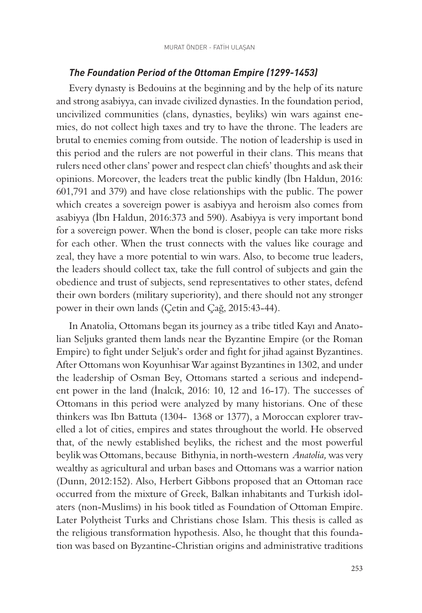## *The Foundation Period of the Ottoman Empire (1299-1453)*

Every dynasty is Bedouins at the beginning and by the help of its nature and strong asabiyya, can invade civilized dynasties. In the foundation period, uncivilized communities (clans, dynasties, beyliks) win wars against enemies, do not collect high taxes and try to have the throne. The leaders are brutal to enemies coming from outside. The notion of leadership is used in this period and the rulers are not powerful in their clans. This means that rulers need other clans' power and respect clan chiefs' thoughts and ask their opinions. Moreover, the leaders treat the public kindly (İbn Haldun, 2016: 601,791 and 379) and have close relationships with the public. The power which creates a sovereign power is asabiyya and heroism also comes from asabiyya (İbn Haldun, 2016:373 and 590). Asabiyya is very important bond for a sovereign power. When the bond is closer, people can take more risks for each other. When the trust connects with the values like courage and zeal, they have a more potential to win wars. Also, to become true leaders, the leaders should collect tax, take the full control of subjects and gain the obedience and trust of subjects, send representatives to other states, defend their own borders (military superiority), and there should not any stronger power in their own lands (Çetin and Çağ, 2015:43-44).

In Anatolia, Ottomans began its journey as a tribe titled Kayı and Anatolian Seljuks granted them lands near the Byzantine Empire (or the Roman Empire) to fight under Seljuk's order and fight for jihad against Byzantines. After Ottomans won Koyunhisar War against Byzantines in 1302, and under the leadership of Osman Bey, Ottomans started a serious and independent power in the land (İnalcık, 2016: 10, 12 and 16-17). The successes of Ottomans in this period were analyzed by many historians. One of these thinkers was Ibn Battuta (1304- 1368 or 1377), a Moroccan explorer travelled a lot of cities, empires and states throughout the world. He observed that, of the newly established beyliks, the richest and the most powerful beylik was Ottomans, because Bithynia, in north-western *Anatolia,* was very wealthy as agricultural and urban bases and Ottomans was a warrior nation (Dunn, 2012:152). Also, Herbert Gibbons proposed that an Ottoman race occurred from the mixture of Greek, Balkan inhabitants and Turkish idolaters (non-Muslims) in his book titled as Foundation of Ottoman Empire. Later Polytheist Turks and Christians chose Islam. This thesis is called as the religious transformation hypothesis. Also, he thought that this foundation was based on Byzantine-Christian origins and administrative traditions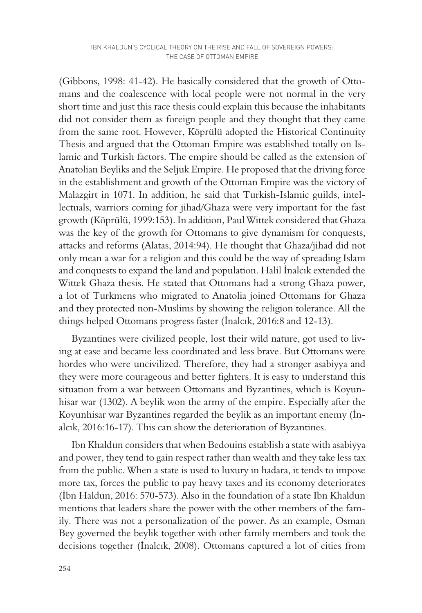(Gibbons, 1998: 41-42). He basically considered that the growth of Ottomans and the coalescence with local people were not normal in the very short time and just this race thesis could explain this because the inhabitants did not consider them as foreign people and they thought that they came from the same root. However, Köprülü adopted the Historical Continuity Thesis and argued that the Ottoman Empire was established totally on Islamic and Turkish factors. The empire should be called as the extension of Anatolian Beyliks and the Seljuk Empire. He proposed that the driving force in the establishment and growth of the Ottoman Empire was the victory of Malazgirt in 1071. In addition, he said that Turkish-Islamic guilds, intellectuals, warriors coming for jihad/Ghaza were very important for the fast growth (Köprülü, 1999:153). In addition, Paul Wittek considered that Ghaza was the key of the growth for Ottomans to give dynamism for conquests, attacks and reforms (Alatas, 2014:94). He thought that Ghaza/jihad did not only mean a war for a religion and this could be the way of spreading Islam and conquests to expand the land and population. Halil İnalcık extended the Wittek Ghaza thesis. He stated that Ottomans had a strong Ghaza power, a lot of Turkmens who migrated to Anatolia joined Ottomans for Ghaza and they protected non-Muslims by showing the religion tolerance. All the things helped Ottomans progress faster (İnalcık, 2016:8 and 12-13).

Byzantines were civilized people, lost their wild nature, got used to living at ease and became less coordinated and less brave. But Ottomans were hordes who were uncivilized. Therefore, they had a stronger asabiyya and they were more courageous and better fighters. It is easy to understand this situation from a war between Ottomans and Byzantines, which is Koyunhisar war (1302). A beylik won the army of the empire. Especially after the Koyunhisar war Byzantines regarded the beylik as an important enemy (İnalcık, 2016:16-17). This can show the deterioration of Byzantines.

Ibn Khaldun considers that when Bedouins establish a state with asabiyya and power, they tend to gain respect rather than wealth and they take less tax from the public. When a state is used to luxury in hadara, it tends to impose more tax, forces the public to pay heavy taxes and its economy deteriorates (İbn Haldun, 2016: 570-573). Also in the foundation of a state Ibn Khaldun mentions that leaders share the power with the other members of the family. There was not a personalization of the power. As an example, Osman Bey governed the beylik together with other family members and took the decisions together (İnalcık, 2008). Ottomans captured a lot of cities from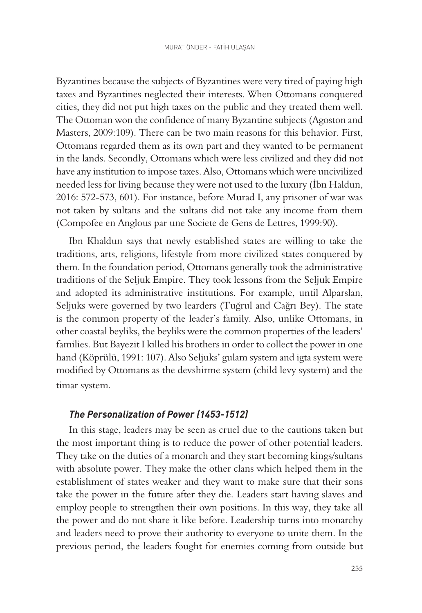Byzantines because the subjects of Byzantines were very tired of paying high taxes and Byzantines neglected their interests. When Ottomans conquered cities, they did not put high taxes on the public and they treated them well. The Ottoman won the confidence of many Byzantine subjects (Agoston and Masters, 2009:109). There can be two main reasons for this behavior. First, Ottomans regarded them as its own part and they wanted to be permanent in the lands. Secondly, Ottomans which were less civilized and they did not have any institution to impose taxes. Also, Ottomans which were uncivilized needed less for living because they were not used to the luxury (İbn Haldun, 2016: 572-573, 601). For instance, before Murad I, any prisoner of war was not taken by sultans and the sultans did not take any income from them (Compofee en Anglous par une Societe de Gens de Lettres, 1999:90).

Ibn Khaldun says that newly established states are willing to take the traditions, arts, religions, lifestyle from more civilized states conquered by them. In the foundation period, Ottomans generally took the administrative traditions of the Seljuk Empire. They took lessons from the Seljuk Empire and adopted its administrative institutions. For example, until Alparslan, Seljuks were governed by two learders (Tuğrul and Cağrı Bey). The state is the common property of the leader's family. Also, unlike Ottomans, in other coastal beyliks, the beyliks were the common properties of the leaders' families. But Bayezit I killed his brothers in order to collect the power in one hand (Köprülü, 1991: 107). Also Seljuks' gulam system and igta system were modified by Ottomans as the devshirme system (child levy system) and the timar system.

#### *The Personalization of Power (1453-1512)*

In this stage, leaders may be seen as cruel due to the cautions taken but the most important thing is to reduce the power of other potential leaders. They take on the duties of a monarch and they start becoming kings/sultans with absolute power. They make the other clans which helped them in the establishment of states weaker and they want to make sure that their sons take the power in the future after they die. Leaders start having slaves and employ people to strengthen their own positions. In this way, they take all the power and do not share it like before. Leadership turns into monarchy and leaders need to prove their authority to everyone to unite them. In the previous period, the leaders fought for enemies coming from outside but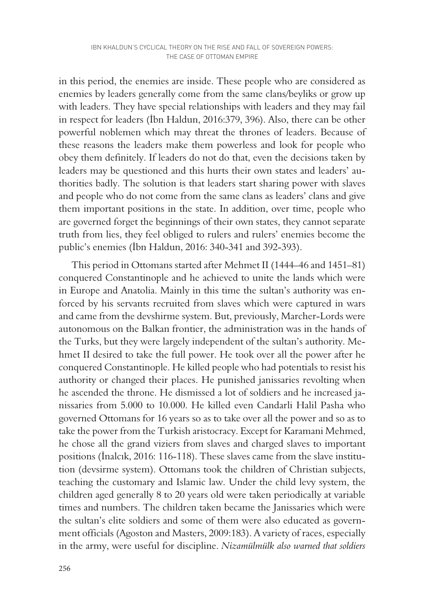in this period, the enemies are inside. These people who are considered as enemies by leaders generally come from the same clans/beyliks or grow up with leaders. They have special relationships with leaders and they may fail in respect for leaders (İbn Haldun, 2016:379, 396). Also, there can be other powerful noblemen which may threat the thrones of leaders. Because of these reasons the leaders make them powerless and look for people who obey them definitely. If leaders do not do that, even the decisions taken by leaders may be questioned and this hurts their own states and leaders' authorities badly. The solution is that leaders start sharing power with slaves and people who do not come from the same clans as leaders' clans and give them important positions in the state. In addition, over time, people who are governed forget the beginnings of their own states, they cannot separate truth from lies, they feel obliged to rulers and rulers' enemies become the public's enemies (İbn Haldun, 2016: 340-341 and 392-393).

This period in Ottomans started after Mehmet II (1444–46 and 1451–81) conquered Constantinople and he achieved to unite the lands which were in Europe and Anatolia. Mainly in this time the sultan's authority was enforced by his servants recruited from slaves which were captured in wars and came from the devshirme system. But, previously, Marcher-Lords were autonomous on the Balkan frontier, the administration was in the hands of the Turks, but they were largely independent of the sultan's authority. Mehmet II desired to take the full power. He took over all the power after he conquered Constantinople. He killed people who had potentials to resist his authority or changed their places. He punished janissaries revolting when he ascended the throne. He dismissed a lot of soldiers and he increased janissaries from 5.000 to 10.000. He killed even Candarli Halil Pasha who governed Ottomans for 16 years so as to take over all the power and so as to take the power from the Turkish aristocracy. Except for Karamani Mehmed, he chose all the grand viziers from slaves and charged slaves to important positions (İnalcık, 2016: 116-118). These slaves came from the slave institution (devsirme system). Ottomans took the children of Christian subjects, teaching the customary and Islamic law. Under the child levy system, the children aged generally 8 to 20 years old were taken periodically at variable times and numbers. The children taken became the Janissaries which were the sultan's elite soldiers and some of them were also educated as government officials (Agoston and Masters, 2009:183). A variety of races, especially in the army, were useful for discipline. *Nizamülmülk also warned that soldiers*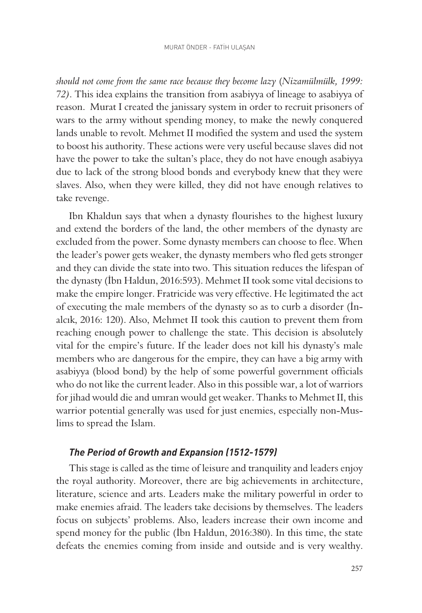*should not come from the same race because they become lazy* (*Nizamülmülk, 1999: 72)*. This idea explains the transition from asabiyya of lineage to asabiyya of reason. Murat I created the janissary system in order to recruit prisoners of wars to the army without spending money, to make the newly conquered lands unable to revolt. Mehmet II modified the system and used the system to boost his authority. These actions were very useful because slaves did not have the power to take the sultan's place, they do not have enough asabiyya due to lack of the strong blood bonds and everybody knew that they were slaves. Also, when they were killed, they did not have enough relatives to take revenge.

Ibn Khaldun says that when a dynasty flourishes to the highest luxury and extend the borders of the land, the other members of the dynasty are excluded from the power. Some dynasty members can choose to flee. When the leader's power gets weaker, the dynasty members who fled gets stronger and they can divide the state into two. This situation reduces the lifespan of the dynasty (İbn Haldun, 2016:593). Mehmet II took some vital decisions to make the empire longer. Fratricide was very effective. He legitimated the act of executing the male members of the dynasty so as to curb a disorder (İnalcık, 2016: 120). Also, Mehmet II took this caution to prevent them from reaching enough power to challenge the state. This decision is absolutely vital for the empire's future. If the leader does not kill his dynasty's male members who are dangerous for the empire, they can have a big army with asabiyya (blood bond) by the help of some powerful government officials who do not like the current leader. Also in this possible war, a lot of warriors for jihad would die and umran would get weaker. Thanks to Mehmet II, this warrior potential generally was used for just enemies, especially non-Muslims to spread the Islam.

#### *The Period of Growth and Expansion (1512-1579)*

This stage is called as the time of leisure and tranquility and leaders enjoy the royal authority. Moreover, there are big achievements in architecture, literature, science and arts. Leaders make the military powerful in order to make enemies afraid. The leaders take decisions by themselves. The leaders focus on subjects' problems. Also, leaders increase their own income and spend money for the public (İbn Haldun, 2016:380). In this time, the state defeats the enemies coming from inside and outside and is very wealthy.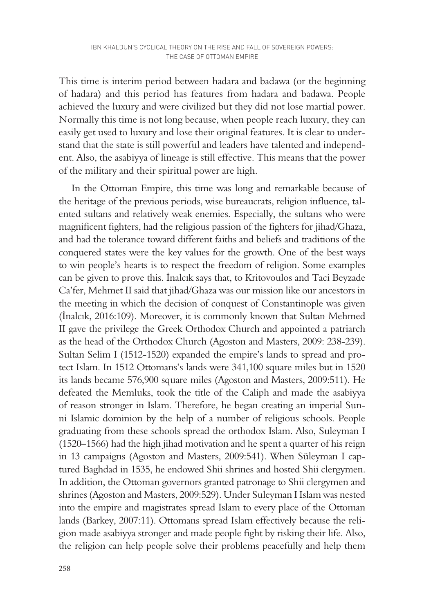This time is interim period between hadara and badawa (or the beginning of hadara) and this period has features from hadara and badawa. People achieved the luxury and were civilized but they did not lose martial power. Normally this time is not long because, when people reach luxury, they can easily get used to luxury and lose their original features. It is clear to understand that the state is still powerful and leaders have talented and independent. Also, the asabiyya of lineage is still effective. This means that the power of the military and their spiritual power are high.

In the Ottoman Empire, this time was long and remarkable because of the heritage of the previous periods, wise bureaucrats, religion influence, talented sultans and relatively weak enemies. Especially, the sultans who were magnificent fighters, had the religious passion of the fighters for jihad/Ghaza, and had the tolerance toward different faiths and beliefs and traditions of the conquered states were the key values for the growth. One of the best ways to win people's hearts is to respect the freedom of religion. Some examples can be given to prove this. İnalcık says that, to Kritovoulos and Taci Beyzade Ca'fer, Mehmet II said that jihad/Ghaza was our mission like our ancestors in the meeting in which the decision of conquest of Constantinople was given (İnalcık, 2016:109). Moreover, it is commonly known that Sultan Mehmed II gave the privilege the Greek Orthodox Church and appointed a patriarch as the head of the Orthodox Church (Agoston and Masters, 2009: 238-239). Sultan Selim I (1512-1520) expanded the empire's lands to spread and protect Islam. In 1512 Ottomans's lands were 341,100 square miles but in 1520 its lands became 576,900 square miles (Agoston and Masters, 2009:511). He defeated the Memluks, took the title of the Caliph and made the asabiyya of reason stronger in Islam. Therefore, he began creating an imperial Sunni Islamic dominion by the help of a number of religious schools. People graduating from these schools spread the orthodox Islam. Also, Suleyman I (1520–1566) had the high jihad motivation and he spent a quarter of his reign in 13 campaigns (Agoston and Masters, 2009:541). When Süleyman I captured Baghdad in 1535, he endowed Shii shrines and hosted Shii clergymen. In addition, the Ottoman governors granted patronage to Shii clergymen and shrines (Agoston and Masters, 2009:529). Under Suleyman I Islam was nested into the empire and magistrates spread Islam to every place of the Ottoman lands (Barkey, 2007:11). Ottomans spread Islam effectively because the religion made asabiyya stronger and made people fight by risking their life. Also, the religion can help people solve their problems peacefully and help them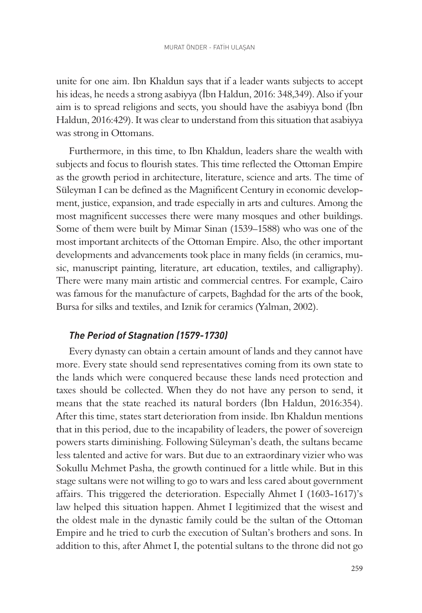unite for one aim. Ibn Khaldun says that if a leader wants subjects to accept his ideas, he needs a strong asabiyya (İbn Haldun, 2016: 348,349). Also if your aim is to spread religions and sects, you should have the asabiyya bond (İbn Haldun, 2016:429). It was clear to understand from this situation that asabiyya was strong in Ottomans.

Furthermore, in this time, to Ibn Khaldun, leaders share the wealth with subjects and focus to flourish states. This time reflected the Ottoman Empire as the growth period in architecture, literature, science and arts. The time of Süleyman I can be defined as the Magnificent Century in economic development, justice, expansion, and trade especially in arts and cultures. Among the most magnificent successes there were many mosques and other buildings. Some of them were built by Mimar Sinan (1539–1588) who was one of the most important architects of the Ottoman Empire. Also, the other important developments and advancements took place in many fields (in ceramics, music, manuscript painting, literature, art education, textiles, and calligraphy). There were many main artistic and commercial centres. For example, Cairo was famous for the manufacture of carpets, Baghdad for the arts of the book, Bursa for silks and textiles, and Iznik for ceramics (Yalman, 2002).

#### *The Period of Stagnation (1579-1730)*

Every dynasty can obtain a certain amount of lands and they cannot have more. Every state should send representatives coming from its own state to the lands which were conquered because these lands need protection and taxes should be collected. When they do not have any person to send, it means that the state reached its natural borders (İbn Haldun, 2016:354). After this time, states start deterioration from inside. Ibn Khaldun mentions that in this period, due to the incapability of leaders, the power of sovereign powers starts diminishing. Following Süleyman's death, the sultans became less talented and active for wars. But due to an extraordinary vizier who was Sokullu Mehmet Pasha, the growth continued for a little while. But in this stage sultans were not willing to go to wars and less cared about government affairs. This triggered the deterioration. Especially Ahmet I (1603-1617)'s law helped this situation happen. Ahmet I legitimized that the wisest and the oldest male in the dynastic family could be the sultan of the Ottoman Empire and he tried to curb the execution of Sultan's brothers and sons. In addition to this, after Ahmet I, the potential sultans to the throne did not go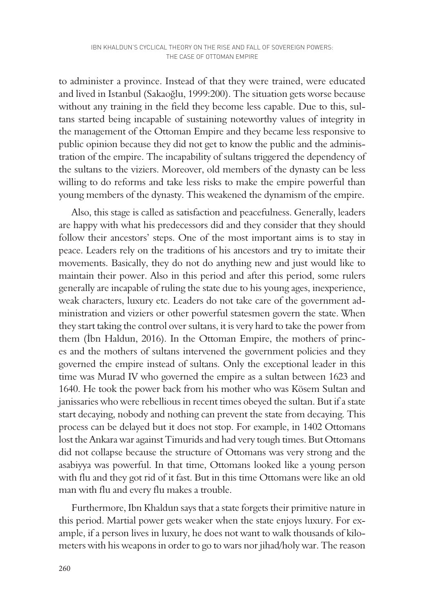to administer a province. Instead of that they were trained, were educated and lived in Istanbul (Sakaoğlu, 1999:200). The situation gets worse because without any training in the field they become less capable. Due to this, sultans started being incapable of sustaining noteworthy values of integrity in the management of the Ottoman Empire and they became less responsive to public opinion because they did not get to know the public and the administration of the empire. The incapability of sultans triggered the dependency of the sultans to the viziers. Moreover, old members of the dynasty can be less willing to do reforms and take less risks to make the empire powerful than young members of the dynasty. This weakened the dynamism of the empire.

Also, this stage is called as satisfaction and peacefulness. Generally, leaders are happy with what his predecessors did and they consider that they should follow their ancestors' steps. One of the most important aims is to stay in peace. Leaders rely on the traditions of his ancestors and try to imitate their movements. Basically, they do not do anything new and just would like to maintain their power. Also in this period and after this period, some rulers generally are incapable of ruling the state due to his young ages, inexperience, weak characters, luxury etc. Leaders do not take care of the government administration and viziers or other powerful statesmen govern the state. When they start taking the control over sultans, it is very hard to take the power from them (İbn Haldun, 2016). In the Ottoman Empire, the mothers of princes and the mothers of sultans intervened the government policies and they governed the empire instead of sultans. Only the exceptional leader in this time was Murad IV who governed the empire as a sultan between 1623 and 1640. He took the power back from his mother who was Kösem Sultan and janissaries who were rebellious in recent times obeyed the sultan. But if a state start decaying, nobody and nothing can prevent the state from decaying. This process can be delayed but it does not stop. For example, in 1402 Ottomans lost the Ankara war against Timurids and had very tough times. But Ottomans did not collapse because the structure of Ottomans was very strong and the asabiyya was powerful. In that time, Ottomans looked like a young person with flu and they got rid of it fast. But in this time Ottomans were like an old man with flu and every flu makes a trouble.

Furthermore, Ibn Khaldun says that a state forgets their primitive nature in this period. Martial power gets weaker when the state enjoys luxury. For example, if a person lives in luxury, he does not want to walk thousands of kilometers with his weapons in order to go to wars nor jihad/holy war. The reason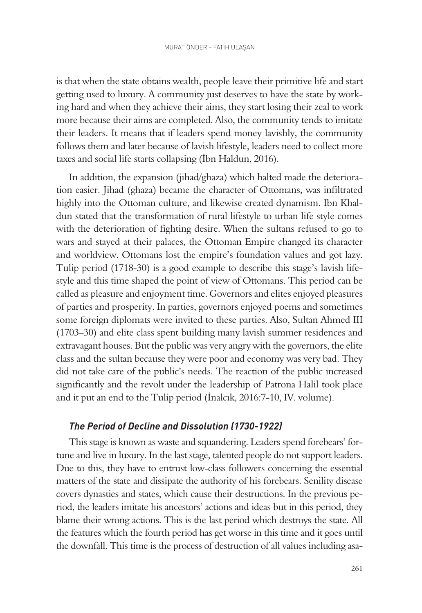is that when the state obtains wealth, people leave their primitive life and start getting used to luxury. A community just deserves to have the state by working hard and when they achieve their aims, they start losing their zeal to work more because their aims are completed. Also, the community tends to imitate their leaders. It means that if leaders spend money lavishly, the community follows them and later because of lavish lifestyle, leaders need to collect more taxes and social life starts collapsing (İbn Haldun, 2016).

In addition, the expansion (jihad/ghaza) which halted made the deterioration easier. Jihad (ghaza) became the character of Ottomans, was infiltrated highly into the Ottoman culture, and likewise created dynamism. Ibn Khaldun stated that the transformation of rural lifestyle to urban life style comes with the deterioration of fighting desire. When the sultans refused to go to wars and stayed at their palaces, the Ottoman Empire changed its character and worldview. Ottomans lost the empire's foundation values and got lazy. Tulip period (1718-30) is a good example to describe this stage's lavish lifestyle and this time shaped the point of view of Ottomans. This period can be called as pleasure and enjoyment time. Governors and elites enjoyed pleasures of parties and prosperity. In parties, governors enjoyed poems and sometimes some foreign diplomats were invited to these parties. Also, Sultan Ahmed III (1703–30) and elite class spent building many lavish summer residences and extravagant houses. But the public was very angry with the governors, the elite class and the sultan because they were poor and economy was very bad. They did not take care of the public's needs. The reaction of the public increased significantly and the revolt under the leadership of Patrona Halil took place and it put an end to the Tulip period (İnalcık, 2016:7-10, IV. volume).

## *The Period of Decline and Dissolution (1730-1922)*

This stage is known as waste and squandering. Leaders spend forebears' fortune and live in luxury. In the last stage, talented people do not support leaders. Due to this, they have to entrust low-class followers concerning the essential matters of the state and dissipate the authority of his forebears. Senility disease covers dynasties and states, which cause their destructions. In the previous period, the leaders imitate his ancestors' actions and ideas but in this period, they blame their wrong actions. This is the last period which destroys the state. All the features which the fourth period has get worse in this time and it goes until the downfall. This time is the process of destruction of all values including asa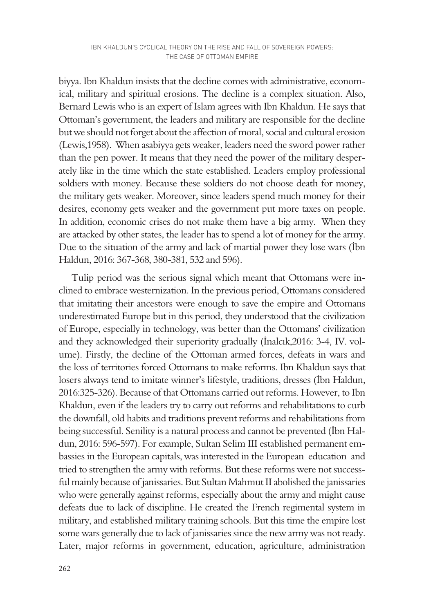biyya. Ibn Khaldun insists that the decline comes with administrative, economical, military and spiritual erosions. The decline is a complex situation. Also, Bernard Lewis who is an expert of Islam agrees with Ibn Khaldun. He says that Ottoman's government, the leaders and military are responsible for the decline but we should not forget about the affection of moral, social and cultural erosion (Lewis,1958). When asabiyya gets weaker, leaders need the sword power rather than the pen power. It means that they need the power of the military desperately like in the time which the state established. Leaders employ professional soldiers with money. Because these soldiers do not choose death for money, the military gets weaker. Moreover, since leaders spend much money for their desires, economy gets weaker and the government put more taxes on people. In addition, economic crises do not make them have a big army. When they are attacked by other states, the leader has to spend a lot of money for the army. Due to the situation of the army and lack of martial power they lose wars (İbn Haldun, 2016: 367-368, 380-381, 532 and 596).

Tulip period was the serious signal which meant that Ottomans were inclined to embrace westernization. In the previous period, Ottomans considered that imitating their ancestors were enough to save the empire and Ottomans underestimated Europe but in this period, they understood that the civilization of Europe, especially in technology, was better than the Ottomans' civilization and they acknowledged their superiority gradually (İnalcık,2016: 3-4, IV. volume). Firstly, the decline of the Ottoman armed forces, defeats in wars and the loss of territories forced Ottomans to make reforms. Ibn Khaldun says that losers always tend to imitate winner's lifestyle, traditions, dresses (İbn Haldun, 2016:325-326). Because of that Ottomans carried out reforms. However, to Ibn Khaldun, even if the leaders try to carry out reforms and rehabilitations to curb the downfall, old habits and traditions prevent reforms and rehabilitations from being successful. Senility is a natural process and cannot be prevented (İbn Haldun, 2016: 596-597). For example, Sultan Selim III established permanent embassies in the European capitals, was interested in the European education and tried to strengthen the army with reforms. But these reforms were not successful mainly because of janissaries. But Sultan Mahmut II abolished the janissaries who were generally against reforms, especially about the army and might cause defeats due to lack of discipline. He created the French regimental system in military, and established military training schools. But this time the empire lost some wars generally due to lack of janissaries since the new army was not ready. Later, major reforms in government, education, agriculture, administration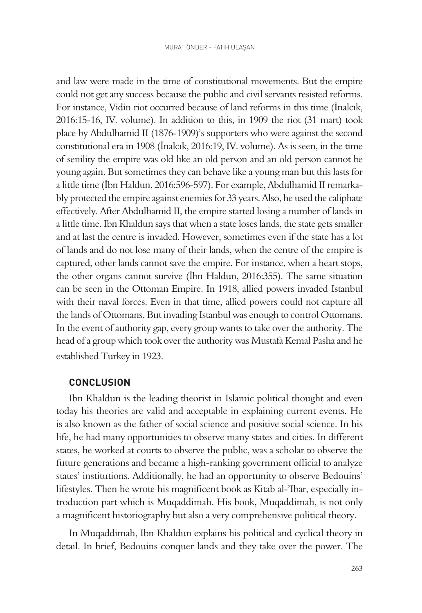and law were made in the time of constitutional movements. But the empire could not get any success because the public and civil servants resisted reforms. For instance, Vidin riot occurred because of land reforms in this time (İnalcık, 2016:15-16, IV. volume). In addition to this, in 1909 the riot (31 mart) took place by Abdulhamid II (1876-1909)'s supporters who were against the second constitutional era in 1908 (İnalcık, 2016:19, IV. volume). As is seen, in the time of senility the empire was old like an old person and an old person cannot be young again. But sometimes they can behave like a young man but this lasts for a little time (İbn Haldun, 2016:596-597). For example, Abdulhamid II remarkably protected the empire against enemies for 33 years. Also, he used the caliphate effectively. After Abdulhamid II, the empire started losing a number of lands in a little time. Ibn Khaldun says that when a state loses lands, the state gets smaller and at last the centre is invaded. However, sometimes even if the state has a lot of lands and do not lose many of their lands, when the centre of the empire is captured, other lands cannot save the empire. For instance, when a heart stops, the other organs cannot survive (İbn Haldun, 2016:355). The same situation can be seen in the Ottoman Empire. In 1918, allied powers invaded Istanbul with their naval forces. Even in that time, allied powers could not capture all the lands of Ottomans. But invading Istanbul was enough to control Ottomans. In the event of authority gap, every group wants to take over the authority. The head of a group which took over the authority was Mustafa Kemal Pasha and he established Turkey in 1923.

#### **CONCLUSION**

Ibn Khaldun is the leading theorist in Islamic political thought and even today his theories are valid and acceptable in explaining current events. He is also known as the father of social science and positive social science. In his life, he had many opportunities to observe many states and cities. In different states, he worked at courts to observe the public, was a scholar to observe the future generations and became a high-ranking government official to analyze states' institutions. Additionally, he had an opportunity to observe Bedouins' lifestyles. Then he wrote his magnificent book as Kitab al-'Ibar, especially introduction part which is Muqaddimah. His book, Muqaddimah, is not only a magnificent historiography but also a very comprehensive political theory.

In Muqaddimah, Ibn Khaldun explains his political and cyclical theory in detail. In brief, Bedouins conquer lands and they take over the power. The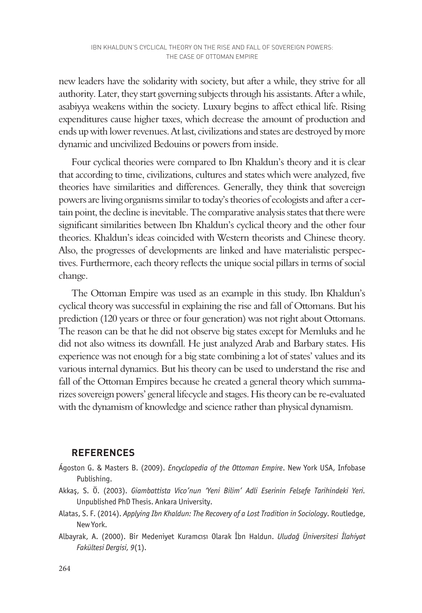new leaders have the solidarity with society, but after a while, they strive for all authority. Later, they start governing subjects through his assistants. After a while, asabiyya weakens within the society. Luxury begins to affect ethical life. Rising expenditures cause higher taxes, which decrease the amount of production and ends up with lower revenues. At last, civilizations and states are destroyed by more dynamic and uncivilized Bedouins or powers from inside.

Four cyclical theories were compared to Ibn Khaldun's theory and it is clear that according to time, civilizations, cultures and states which were analyzed, five theories have similarities and differences. Generally, they think that sovereign powers are living organisms similar to today's theories of ecologists and after a certain point, the decline is inevitable. The comparative analysis states that there were significant similarities between Ibn Khaldun's cyclical theory and the other four theories. Khaldun's ideas coincided with Western theorists and Chinese theory. Also, the progresses of developments are linked and have materialistic perspectives. Furthermore, each theory reflects the unique social pillars in terms of social change.

The Ottoman Empire was used as an example in this study. Ibn Khaldun's cyclical theory was successful in explaining the rise and fall of Ottomans. But his prediction (120 years or three or four generation) was not right about Ottomans. The reason can be that he did not observe big states except for Memluks and he did not also witness its downfall. He just analyzed Arab and Barbary states. His experience was not enough for a big state combining a lot of states' values and its various internal dynamics. But his theory can be used to understand the rise and fall of the Ottoman Empires because he created a general theory which summarizes sovereign powers' general lifecycle and stages. His theory can be re-evaluated with the dynamism of knowledge and science rather than physical dynamism.

## **REFERENCES**

- Ágoston G. & Masters B. (2009). *Encyclopedia of the Ottoman Empire*. New York USA, Infobase Publishing.
- Akkaş, S. Ö. (2003). *Giambattista Vico'nun 'Yeni Bilim' Adli Eserinin Felsefe Tarihindeki Yeri.* Unpublished PhD Thesis. Ankara University.
- Alatas, S. F. (2014). *Applying Ibn Khaldun: The Recovery of a Lost Tradition in Sociology*. Routledge, New York.
- Albayrak, A. (2000). Bir Medeniyet Kuramcısı Olarak İbn Haldun. *Uludağ Üniversitesi İlahiyat Fakültesi Dergisi, 9*(1).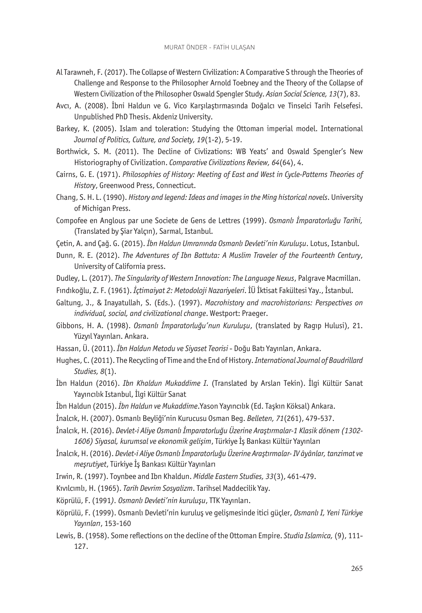- Al Tarawneh, F. (2017). The Collapse of Western Civilization: A Comparative S through the Theories of Challenge and Response to the Philosopher Arnold Toebney and the Theory of the Collapse of Western Civilization of the Philosopher Oswald Spengler Study. *Asian Social Science, 13*(7), 83.
- Avcı, A. (2008). İbni Haldun ve G. Vico Karşılaştırmasında Doğalcı ve Tinselci Tarih Felsefesi. Unpublished PhD Thesis. Akdeniz University.
- Barkey, K. (2005). Islam and toleration: Studying the Ottoman imperial model. International *Journal of Politics, Culture, and Society, 19*(1-2), 5-19.
- Borthwick, S. M. (2011). The Decline of Civlizations: WB Yeats' and Oswald Spengler's New Historiography of Civilization. *Comparative Civilizations Review, 64*(64), 4.
- Cairns, G. E. (1971). *Philosophies of History: Meeting of East and West in Cycle-Patterns Theories of History*, Greenwood Press, Connecticut.
- Chang, S. H. L. (1990). *History and legend: Ideas and images in the Ming historical novels*. University of Michigan Press.
- Compofee en Anglous par une Societe de Gens de Lettres (1999). *Osmanlı İmparatorluğu Tarihi,*  (Translated by Şiar Yalçın), Sarmal, Istanbul.
- Çetin, A. and Çağ. G. (2015). *İbn Haldun Umranında Osmanlı Devleti'nin Kuruluşu*. Lotus, Istanbul.
- Dunn, R. E. (2012). *The Adventures of Ibn Battuta: A Muslim Traveler of the Fourteenth Century*, University of California press.
- Dudley, L. (2017). *The Singularity of Western Innovation: The Language Nexus*, Palgrave Macmillan.
- Fındıkoğlu, Z. F. (1961). *İçtimaiyat 2: Metodoloji Nazariyeleri*. İÜ İktisat Fakültesi Yay., İstanbul.
- Galtung, J., & Inayatullah, S. (Eds.). (1997). *Macrohistory and macrohistorians: Perspectives on individual, social, and civilizational change*. Westport: Praeger.
- Gibbons, H. A. (1998). *Osmanlı İmparatorluğu'nun Kuruluşu*, (translated by Ragıp Hulusi), 21. Yüzyıl Yayınları. Ankara.
- Hassan, Ü. (2011). *İbn Haldun Metodu ve Siyaset Teorisi* Doğu Batı Yayınları, Ankara.
- Hughes, C. (2011). The Recycling of Time and the End of History. *International Journal of Baudrillard Studies, 8*(1).
- İbn Haldun (2016). *Ibn Khaldun Mukaddime I*. (Translated by Arslan Tekin). İlgi Kültür Sanat Yayıncılık Istanbul, İlgi Kültür Sanat
- İbn Haldun (2015). *İbn Haldun ve Mukaddime*.Yason Yayıncılık (Ed. Taşkın Köksal) Ankara.
- İnalcık, H. (2007). Osmanlı Beyliği'nin Kurucusu Osman Beg. *Belleten, 71*(261), 479-537.
- İnalcık, H. (2016). *Devlet-i Aliye Osmanlı İmparatorluğu Üzerine Araştırmalar-1 Klasik dönem (1302- 1606) Siyasal, kurumsal ve ekonomik gelişim*, Türkiye İş Bankası Kültür Yayınları
- İnalcık, H. (2016). *Devlet-i Aliye Osmanlı İmparatorluğu Üzerine Araştırmalar- IV âyânlar, tanzimat ve meşrutiyet*, Türkiye İş Bankası Kültür Yayınları
- Irwin, R. (1997). Toynbee and Ibn Khaldun. *Middle Eastern Studies, 33*(3), 461-479.
- Kıvılcımlı, H. (1965). *Tarih Devrim Sosyalizm*. Tarihsel Maddecilik Yay.
- Köprülü, F. (1991*). Osmanlı Devleti'nin kuruluşu*, TTK Yayınları.
- Köprülü, F. (1999). Osmanlı Devleti'nin kuruluş ve gelişmesinde itici güçler, *Osmanlı I, Yeni Türkiye Yayınları*, 153-160
- Lewis, B. (1958). Some reflections on the decline of the Ottoman Empire. *Studia Islamica,* (9), 111- 127.